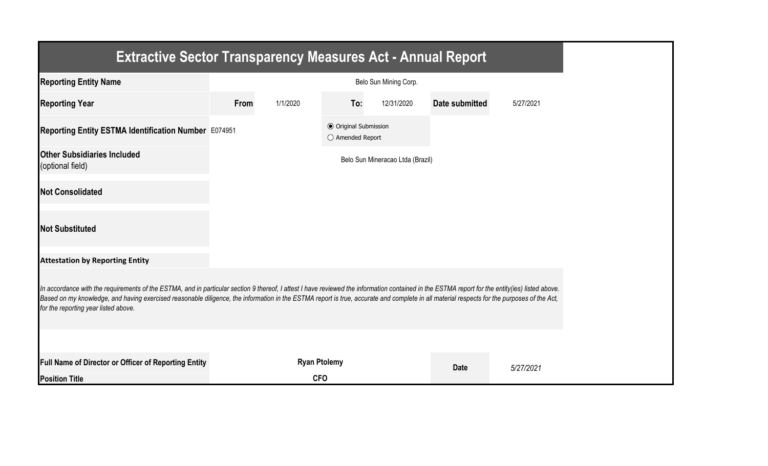| <b>Extractive Sector Transparency Measures Act - Annual Report</b>                                                                                                                                                                                                                                                                                                                                                                    |                       |                     |                                                  |                                  |                |           |  |
|---------------------------------------------------------------------------------------------------------------------------------------------------------------------------------------------------------------------------------------------------------------------------------------------------------------------------------------------------------------------------------------------------------------------------------------|-----------------------|---------------------|--------------------------------------------------|----------------------------------|----------------|-----------|--|
| <b>Reporting Entity Name</b>                                                                                                                                                                                                                                                                                                                                                                                                          | Belo Sun Mining Corp. |                     |                                                  |                                  |                |           |  |
| <b>Reporting Year</b>                                                                                                                                                                                                                                                                                                                                                                                                                 | From                  | 1/1/2020            | To:                                              | 12/31/2020                       | Date submitted | 5/27/2021 |  |
| Reporting Entity ESTMA Identification Number E074951                                                                                                                                                                                                                                                                                                                                                                                  |                       |                     | <b>● Original Submission</b><br>○ Amended Report |                                  |                |           |  |
| <b>Other Subsidiaries Included</b><br>(optional field)                                                                                                                                                                                                                                                                                                                                                                                |                       |                     |                                                  | Belo Sun Mineracao Ltda (Brazil) |                |           |  |
| <b>Not Consolidated</b>                                                                                                                                                                                                                                                                                                                                                                                                               |                       |                     |                                                  |                                  |                |           |  |
| <b>Not Substituted</b>                                                                                                                                                                                                                                                                                                                                                                                                                |                       |                     |                                                  |                                  |                |           |  |
| <b>Attestation by Reporting Entity</b>                                                                                                                                                                                                                                                                                                                                                                                                |                       |                     |                                                  |                                  |                |           |  |
| In accordance with the requirements of the ESTMA, and in particular section 9 thereof, I attest I have reviewed the information contained in the ESTMA report for the entity(ies) listed above.<br>Based on my knowledge, and having exercised reasonable diligence, the information in the ESTMA report is true, accurate and complete in all material respects for the purposes of the Act,<br>for the reporting year listed above. |                       |                     |                                                  |                                  |                |           |  |
|                                                                                                                                                                                                                                                                                                                                                                                                                                       |                       |                     |                                                  |                                  |                |           |  |
| Full Name of Director or Officer of Reporting Entity                                                                                                                                                                                                                                                                                                                                                                                  |                       | <b>Ryan Ptolemy</b> |                                                  |                                  | <b>Date</b>    | 5/27/2021 |  |
| <b>Position Title</b>                                                                                                                                                                                                                                                                                                                                                                                                                 |                       | <b>CFO</b>          |                                                  |                                  |                |           |  |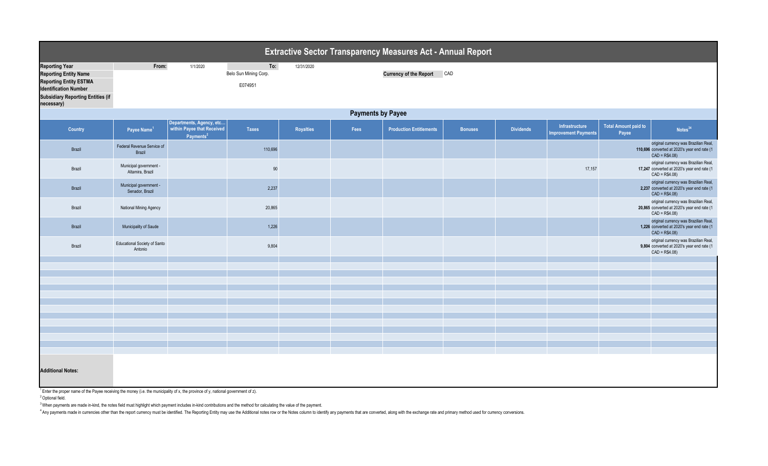| <b>Extractive Sector Transparency Measures Act - Annual Report</b>                                                                                                                  |                                                |                                                                                 |                                         |            |      |                                |                |                  |                                               |                                      |                                                                                                         |  |  |
|-------------------------------------------------------------------------------------------------------------------------------------------------------------------------------------|------------------------------------------------|---------------------------------------------------------------------------------|-----------------------------------------|------------|------|--------------------------------|----------------|------------------|-----------------------------------------------|--------------------------------------|---------------------------------------------------------------------------------------------------------|--|--|
| <b>Reporting Year</b><br><b>Reporting Entity Name</b><br><b>Reporting Entity ESTMA</b><br><b>Identification Number</b><br><b>Subsidiary Reporting Entities (if</b><br>necessary)    | From:                                          | 1/1/2020                                                                        | To:<br>Belo Sun Mining Corp.<br>E074951 | 12/31/2020 |      | <b>Currency of the Report</b>  | CAD            |                  |                                               |                                      |                                                                                                         |  |  |
|                                                                                                                                                                                     | <b>Payments by Payee</b>                       |                                                                                 |                                         |            |      |                                |                |                  |                                               |                                      |                                                                                                         |  |  |
| Country                                                                                                                                                                             | Payee Name <sup>1</sup>                        | Departments, Agency, etc<br>within Payee that Received<br>Payments <sup>2</sup> | <b>Taxes</b>                            | Royalties  | Fees | <b>Production Entitlements</b> | <b>Bonuses</b> | <b>Dividends</b> | Infrastructure<br><b>Improvement Payments</b> | <b>Total Amount paid to</b><br>Payee | Notes <sup>34</sup>                                                                                     |  |  |
| Brazil                                                                                                                                                                              | Federal Revenue Service of<br>Brazil           |                                                                                 | 110,696                                 |            |      |                                |                |                  |                                               |                                      | original currency was Brazilian Real,<br>110,696 converted at 2020's year end rate (1<br>$CAD = R$4.08$ |  |  |
| Brazil                                                                                                                                                                              | Municipal government -<br>Altamira, Brazil     |                                                                                 | 90                                      |            |      |                                |                |                  | 17,157                                        |                                      | original currency was Brazilian Real,<br>17,247 converted at 2020's year end rate (1<br>$CAD = R$4.08$  |  |  |
| Brazil                                                                                                                                                                              | Municipal government -<br>Senador, Brazil      |                                                                                 | 2,237                                   |            |      |                                |                |                  |                                               |                                      | original currency was Brazilian Real,<br>2,237 converted at 2020's year end rate (1<br>$CAD = R$4.08$   |  |  |
| Brazil                                                                                                                                                                              | National Mining Agency                         |                                                                                 | 20,865                                  |            |      |                                |                |                  |                                               |                                      | original currency was Brazilian Real,<br>20,865 converted at 2020's year end rate (1<br>$CAD = R$4.08$  |  |  |
| Brazil                                                                                                                                                                              | Municipality of Saude                          |                                                                                 | 1,226                                   |            |      |                                |                |                  |                                               |                                      | original currency was Brazilian Real,<br>1,226 converted at 2020's year end rate (1<br>$CAD = R$4.08$   |  |  |
| Brazil                                                                                                                                                                              | <b>Educational Society of Santo</b><br>Antonio |                                                                                 | 9,804                                   |            |      |                                |                |                  |                                               |                                      | original currency was Brazilian Real,<br>9,804 converted at 2020's year end rate (1<br>$CAD = R$4.08$   |  |  |
|                                                                                                                                                                                     |                                                |                                                                                 |                                         |            |      |                                |                |                  |                                               |                                      |                                                                                                         |  |  |
|                                                                                                                                                                                     |                                                |                                                                                 |                                         |            |      |                                |                |                  |                                               |                                      |                                                                                                         |  |  |
|                                                                                                                                                                                     |                                                |                                                                                 |                                         |            |      |                                |                |                  |                                               |                                      |                                                                                                         |  |  |
|                                                                                                                                                                                     |                                                |                                                                                 |                                         |            |      |                                |                |                  |                                               |                                      |                                                                                                         |  |  |
|                                                                                                                                                                                     |                                                |                                                                                 |                                         |            |      |                                |                |                  |                                               |                                      |                                                                                                         |  |  |
|                                                                                                                                                                                     |                                                |                                                                                 |                                         |            |      |                                |                |                  |                                               |                                      |                                                                                                         |  |  |
|                                                                                                                                                                                     |                                                |                                                                                 |                                         |            |      |                                |                |                  |                                               |                                      |                                                                                                         |  |  |
|                                                                                                                                                                                     |                                                |                                                                                 |                                         |            |      |                                |                |                  |                                               |                                      |                                                                                                         |  |  |
|                                                                                                                                                                                     |                                                |                                                                                 |                                         |            |      |                                |                |                  |                                               |                                      |                                                                                                         |  |  |
|                                                                                                                                                                                     |                                                |                                                                                 |                                         |            |      |                                |                |                  |                                               |                                      |                                                                                                         |  |  |
|                                                                                                                                                                                     |                                                |                                                                                 |                                         |            |      |                                |                |                  |                                               |                                      |                                                                                                         |  |  |
| <b>Additional Notes:</b><br>$\frac{1}{2}$ Enter the areaer name of the Daves resolution the meansuling the municipality of y the arguines of y potional government of $\rightarrow$ |                                                |                                                                                 |                                         |            |      |                                |                |                  |                                               |                                      |                                                                                                         |  |  |

<sup>1</sup>Enter the proper name of the Payee receiving the money (i.e. the municipality of x, the province of y, national government of z).

<sup>2</sup> Optional field.

 $3$  When payments are made in-kind, the notes field must highlight which payment includes in-kind contributions and the method for calculating the value of the payment.

<sup>4</sup> Any payments made in currencies other than the report currency must be identified. The Reporting Entity may use the Additional notes row or the Notes column to identify any payments that are converted, along with the e